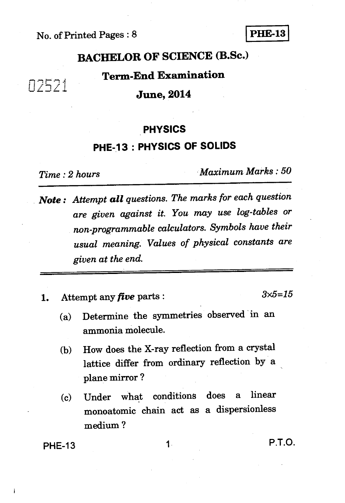## No. of Printed Pages : 8 **PHE-13**

# **BACHELOR OF SCIENCE (B.Sc.)**

## **Term-End Examination**

#### **June, 2014**

#### **PHYSICS**

#### **PHE-13 : PHYSICS OF SOLIDS**

02521

*Time : 2 hours Maximum Marks : 50* 

*Note : Attempt all questions. The marks for each question are given against it. You may use log-tables or non programmable calculators. Symbols have their usual meaning. Values of physical constants are given at the end.* 

**1.** Attempt any *five* parts :  $3 \times 5 = 15$ 

- **(a) Determine the symmetries observed in an ammonia molecule.**
- **(b) How does the X-ray reflection from a crystal lattice differ from ordinary reflection by a plane mirror ?**
- **(c) Under what conditions does a linear monoatomic chain act as a dispersionless medium ?**

## **PHE-13 1 P.T.O.**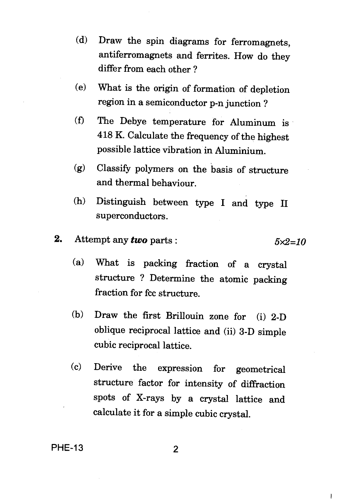- (d) Draw the spin diagrams for ferromagnets, antiferromagnets and ferrites. How do they differ from each other ?
- (e) What is the origin of formation of depletion region in a semiconductor p-n junction ?
- (f) The Debye temperature for Aluminum is 418 K. Calculate the frequency of the highest possible lattice vibration in Aluminium.
- (g) Classify polymers on the basis of structure and thermal behaviour.
- (h) Distinguish between type I and type II superconductors.
- **2.** Attempt any *two* parts :  $5 \times 2 = 10$ 
	- (a) What is packing fraction of a crystal structure ? Determine the atomic packing fraction for fcc structure.
	- (b) Draw the first Brillouin zone for (i) 2-D oblique reciprocal lattice and (ii) 3-D simple cubic reciprocal lattice.
	- (c) Derive the expression for geometrical structure factor for intensity of diffraction spots of X-rays by a crystal lattice and calculate it for a simple cubic crystal.

**PHE-13** 2

 $\mathbf{I}$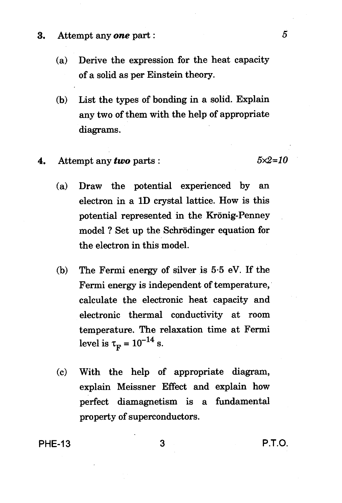- 3. Attempt any *one* part :
	- (a) Derive the expression for the heat capacity of a solid as per Einstein theory.
	- (b) List the types of bonding in a solid. Explain any two of them with the help of appropriate diagrams.
- **4.** Attempt any *two* parts :  $5 \times 2 = 10$

- (a) Draw the potential experienced by an electron in a 1D crystal lattice. How is this potential represented in the Kronig-Penney model ? Set up the Schrodinger equation for the electron in this model.
- (b) The Fermi energy of silver is 5.5 eV. If the Fermi energy is independent of temperature, calculate the electronic heat capacity and electronic thermal conductivity at room temperature. The relaxation time at Fermi level is  $\tau_{\rm F} = 10^{-14}$  s.
- (c) With the help of appropriate diagram, explain Meissner Effect and explain how perfect diamagnetism is a fundamental property of superconductors.

PHE-13 3 P.T.O.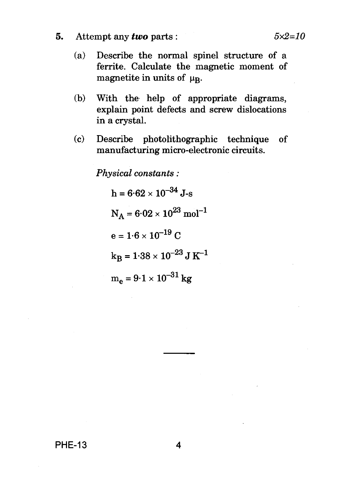- **5.** Attempt any *two* parts : *5x2=10* 
	- (a) Describe the normal spinel structure of a ferrite. Calculate the magnetic moment of magnetite in units of  $\mu_{\rm R}$ .
	- (b) With the help of appropriate diagrams, explain point defects and screw dislocations in a crystal.
	- (c) Describe photolithographic technique of manufacturing micro-electronic circuits.

*Physical constants :* 

 $h = 6.62 \times 10^{-34}$  J-s  $N_A = 6.02 \times 10^{23}$  mol<sup>-1</sup>  $e = 1.6 \times 10^{-19}$  C  $k_B = 1.38 \times 10^{-23}$  J K<sup>-1</sup>  $m_e = 9.1 \times 10^{-31}$  kg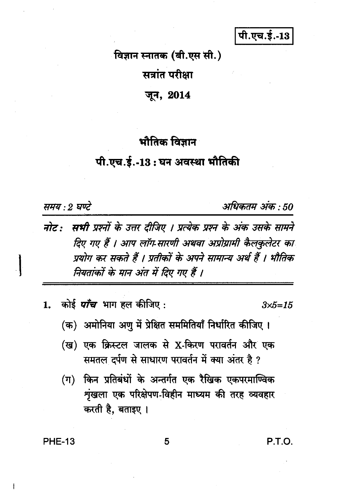पी.एच.ई.-13

विज्ञान स्नातक (बी.एस सी.) सत्रांत परीक्षा जून, 2014

## भौतिक विज्ञान

### पी.एच.ई.-13 : घन अवस्था भौतिकी

समय : 2 घण्टे

अधिकतम अंक : 50

- नोट: सभी प्रश्नों के उत्तर दीजिए । प्रत्येक प्रश्न के अंक उसके सामने दिए गए हैं । आप लॉग सारणी अथवा अप्रोग्रामी कैलकुलेटर का प्रयोग कर सकते हैं । प्रतीकों के अपने सामान्य अर्थ हैं । भौतिक नियतांकों के मान अंत में दिए गए हैं ।
- कोई *पाँच* भाग हल कीजिए :  $\mathbf{1}$

 $3 \times 5 = 15$ 

- (क) अमोनिया अणु में प्रेक्षित सममितियाँ निर्धारित कीजिए ।
- (ख) एक क्रिस्टल जालक से X-किरण परावर्तन और एक समतल दर्पण से साधारण परावर्तन में क्या अंतर है ?
- (ग) किन प्रतिबंधों के अन्तर्गत एक रैखिक एकपरमाण्विक श्रृंखला एक परिक्षेपण-विहीन माध्यम की तरह व्यवहार करती है, बताइए ।

5

**PHE-13** 

P.T.O.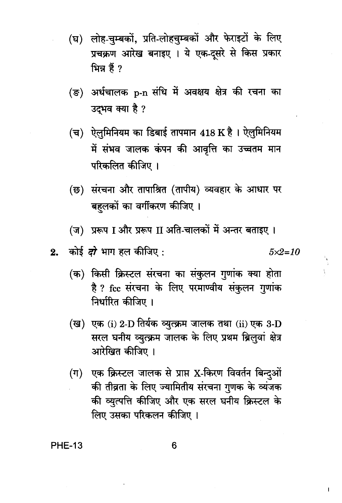- (घ) लोह-चुम्बकों, प्रति-लोहचुम्बकों और फेराइटों के लिए प्रचक्रण आरेख बनाइए । ये एक-दुसरे से किस प्रकार ਮਿਸ਼ हैं ?
- (ङ) अर्धचालक p-n संधि में अवक्षय क्षेत्र की रचना का उदभव क्या है ?
- (च) ऐलुमिनियम का डिबाई तापमान 418 K है। ऐलुमिनियम में संभव जालक कंपन की आवृत्ति का उच्चतम मान परिकलित कीजिए ।
- (छ) संरचना और तापाश्रित (तापीय) व्यवहार के आधार पर बहलकों का वर्गीकरण कीजिए ।
- (ज) प्ररूप I और प्ररूप II अति-चालकों में अन्तर बताइए ।

 $5 \times 2 = 10$ 

- (क) किसी क्रिस्टल संरचना का संकुलन गुणांक क्या होता है ? fcc संरचना के लिए परमाण्वीय संकलन गणांक निर्धारित कीजिए ।
- (ख) एक (i) 2-D तिर्यक व्युत्क्रम जालक तथा (ii) एक 3-D सरल घनीय व्युत्क्रम जालक के लिए प्रथम ब्रिलवां क्षेत्र आरेखित कीजिए ।
- एक क्रिस्टल जालक से प्राप्त X-किरण विवर्तन बिन्दुओं  $(\Pi)$ की तीव्रता के लिए ज्यामितीय संरचना गुणक के व्यंजक की व्युत्पत्ति कीजिए और एक सरल घनीय क्रिस्टल के लिए उसका परिकलन कीजिए ।

**PHE-13**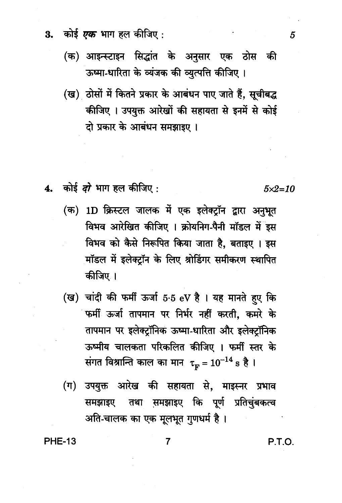- कोई *एक* भाग हल कीजिए : 3.
	- (क) आइन्स्टाइन सिद्धांत के अनुसार एक ठोस की ऊष्मा-धारिता के व्यंजक की व्युत्पत्ति कीजिए।
	- (ख) ठोसों में कितने प्रकार के आबंधन पाए जाते हैं, सूचीबद्ध कीजिए । उपयुक्त आरेखों की सहायता से इनमें से कोई दो प्रकार के आबंधन समझाइए।
- 4. कोई *दो* भाग हल कीजिए :
	- (क) 1D क्रिस्टल जालक में एक इलेक्टॉन द्वारा अनुभूत विभव आरेखित कीजिए । क्रोयनिग-पैनी मॉडल में इस विभव को कैसे निरूपित किया जाता है, बताइए । इस मॉडल में इलेक्ट्रॉन के लिए श्रोडिंगर समीकरण स्थापित कीजिए ।
	- (ख) चांदी की फर्मी ऊर्जा 5.5 eV है। यह मानते हुए कि फर्मी ऊर्जा तापमान पर निर्भर नहीं करती. कमरे के तापमान पर इलेक्ट्रॉनिक ऊष्मा-धारिता और इलेक्टॉनिक ऊष्मीय चालकता परिकलित कीजिए । फर्मी स्तर के संगत विश्रान्ति काल का मान $\tau_{\rm m} = 10^{-14} \text{ s}$  है ।
	- उपयुक्त आरेख की सहायता से, माइस्नर प्रभाव  $(\pi)$ समझाइए तथा समझाइए कि पूर्ण प्रतिचुंबकत्व अति-चालक का एक मूलभूत गुणधर्म है।

 $\overline{7}$ 

**PHE-13** 

P.T.O.

 $5x2=10$